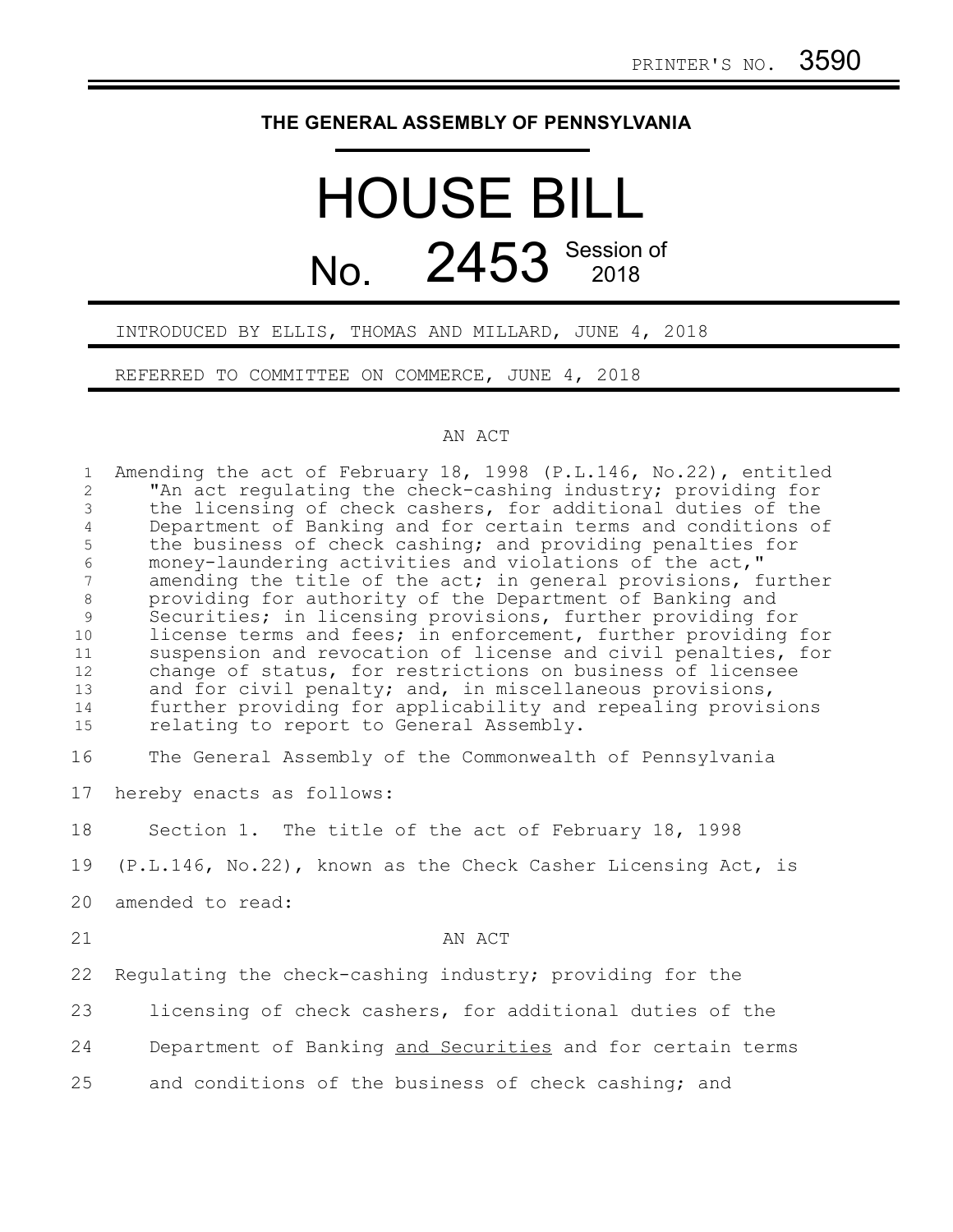## **THE GENERAL ASSEMBLY OF PENNSYLVANIA**

# HOUSE BILL No. 2453 Session of

#### INTRODUCED BY ELLIS, THOMAS AND MILLARD, JUNE 4, 2018

REFERRED TO COMMITTEE ON COMMERCE, JUNE 4, 2018

#### AN ACT

Amending the act of February 18, 1998 (P.L.146, No.22), entitled "An act regulating the check-cashing industry; providing for the licensing of check cashers, for additional duties of the Department of Banking and for certain terms and conditions of the business of check cashing; and providing penalties for money-laundering activities and violations of the act," amending the title of the act; in general provisions, further providing for authority of the Department of Banking and Securities; in licensing provisions, further providing for license terms and fees; in enforcement, further providing for suspension and revocation of license and civil penalties, for change of status, for restrictions on business of licensee and for civil penalty; and, in miscellaneous provisions, further providing for applicability and repealing provisions relating to report to General Assembly. The General Assembly of the Commonwealth of Pennsylvania hereby enacts as follows: Section 1. The title of the act of February 18, 1998 (P.L.146, No.22), known as the Check Casher Licensing Act, is amended to read: 1 2 3 4 5 6 7 8 9 10 11 12 13 14 15 16 17 18 19 20

21

### AN ACT

Regulating the check-cashing industry; providing for the 22

- licensing of check cashers, for additional duties of the 23
- Department of Banking and Securities and for certain terms 24
- and conditions of the business of check cashing; and 25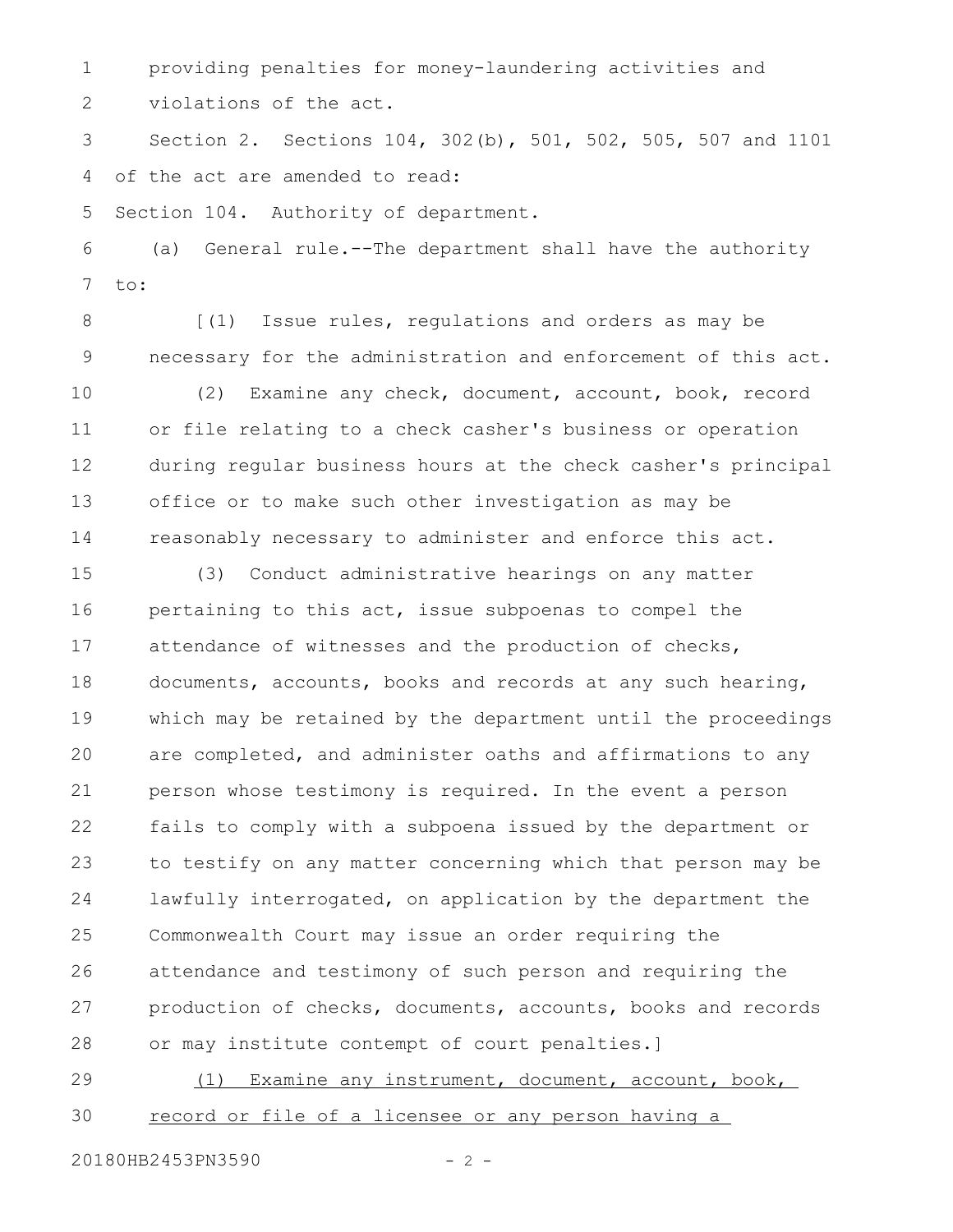providing penalties for money-laundering activities and violations of the act. 1 2

Section 2. Sections 104, 302(b), 501, 502, 505, 507 and 1101 of the act are amended to read: 3 4

Section 104. Authority of department. 5

(a) General rule.--The department shall have the authority to: 6 7

8

[(1) Issue rules, regulations and orders as may be necessary for the administration and enforcement of this act. 9

(2) Examine any check, document, account, book, record or file relating to a check casher's business or operation during regular business hours at the check casher's principal office or to make such other investigation as may be reasonably necessary to administer and enforce this act. 10 11 12 13 14

(3) Conduct administrative hearings on any matter pertaining to this act, issue subpoenas to compel the attendance of witnesses and the production of checks, documents, accounts, books and records at any such hearing, which may be retained by the department until the proceedings are completed, and administer oaths and affirmations to any person whose testimony is required. In the event a person fails to comply with a subpoena issued by the department or to testify on any matter concerning which that person may be lawfully interrogated, on application by the department the Commonwealth Court may issue an order requiring the attendance and testimony of such person and requiring the production of checks, documents, accounts, books and records or may institute contempt of court penalties.] 15 16 17 18 19 20 21 22 23 24 25 26 27 28

(1) Examine any instrument, document, account, book, record or file of a licensee or any person having a 29 30

20180HB2453PN3590 - 2 -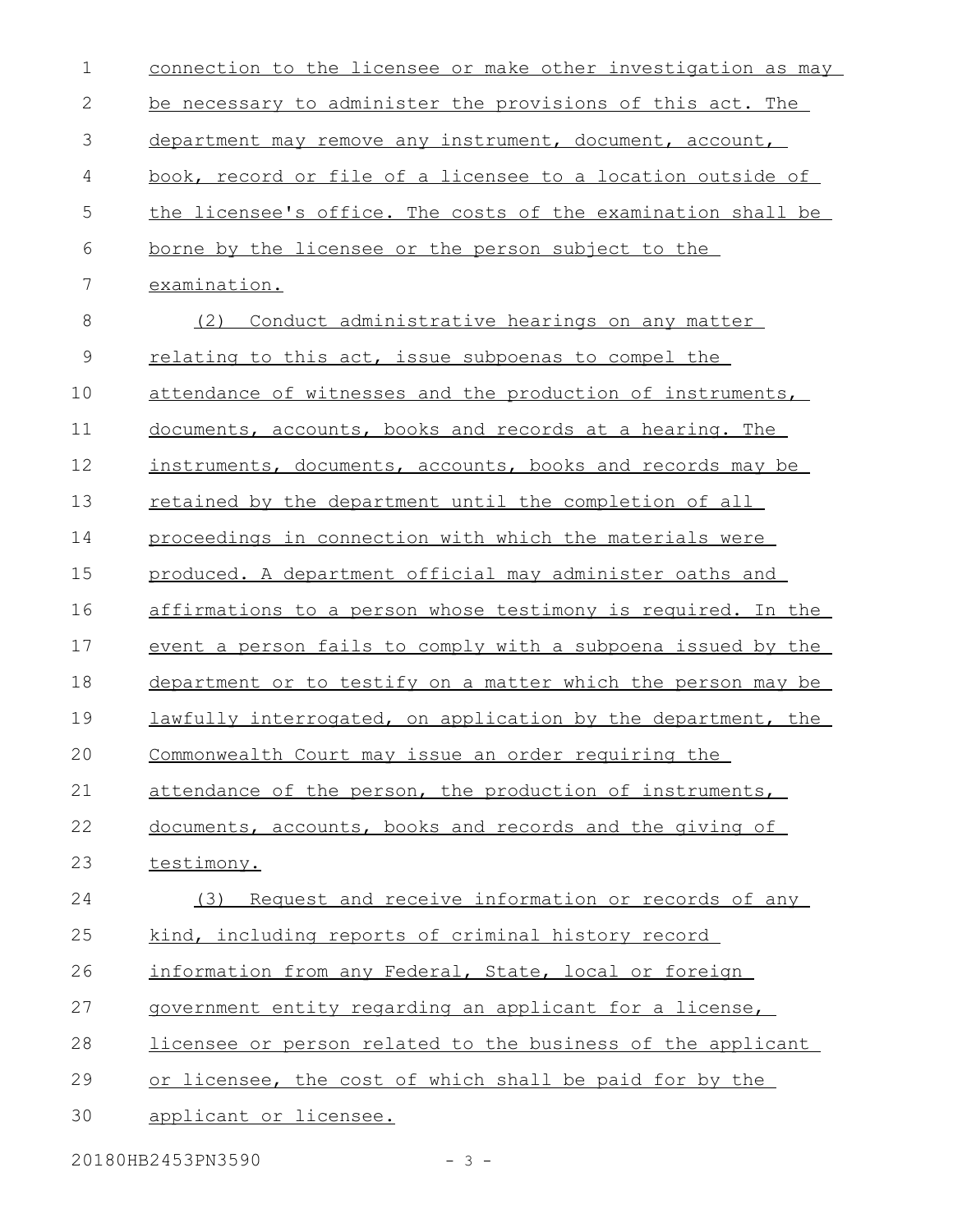| $\mathbf 1$   | connection to the licensee or make other investigation as may |
|---------------|---------------------------------------------------------------|
| 2             | be necessary to administer the provisions of this act. The    |
| 3             | department may remove any instrument, document, account,      |
| 4             | book, record or file of a licensee to a location outside of   |
| 5             | the licensee's office. The costs of the examination shall be  |
| 6             | borne by the licensee or the person subject to the            |
| 7             | examination.                                                  |
| 8             | Conduct administrative hearings on any matter<br>(2)          |
| $\mathcal{G}$ | <u>relating to this act, issue subpoenas to compel the</u>    |
| 10            | attendance of witnesses and the production of instruments,    |
| 11            | documents, accounts, books and records at a hearing. The      |
| 12            | instruments, documents, accounts, books and records may be    |
| 13            | <u>retained by the department until the completion of all</u> |
| 14            | proceedings in connection with which the materials were       |
| 15            | produced. A department official may administer oaths and      |
| 16            | affirmations to a person whose testimony is required. In the  |
| 17            | event a person fails to comply with a subpoena issued by the  |
| 18            | department or to testify on a matter which the person may be  |
| 19            | lawfully interrogated, on application by the department, the  |
| 20            | Commonwealth Court may issue an order requiring the           |
| 21            | attendance of the person, the production of instruments,      |
| 22            | documents, accounts, books and records and the giving of      |
| 23            | testimony.                                                    |
| 24            | Request and receive information or records of any<br>(3)      |
| 25            | kind, including reports of criminal history record            |
| 26            | information from any Federal, State, local or foreign         |
| 27            | government entity regarding an applicant for a license,       |
| 28            | licensee or person related to the business of the applicant   |
| 29            | or licensee, the cost of which shall be paid for by the       |
| 30            | applicant or licensee.                                        |
|               |                                                               |

20180HB2453PN3590 - 3 -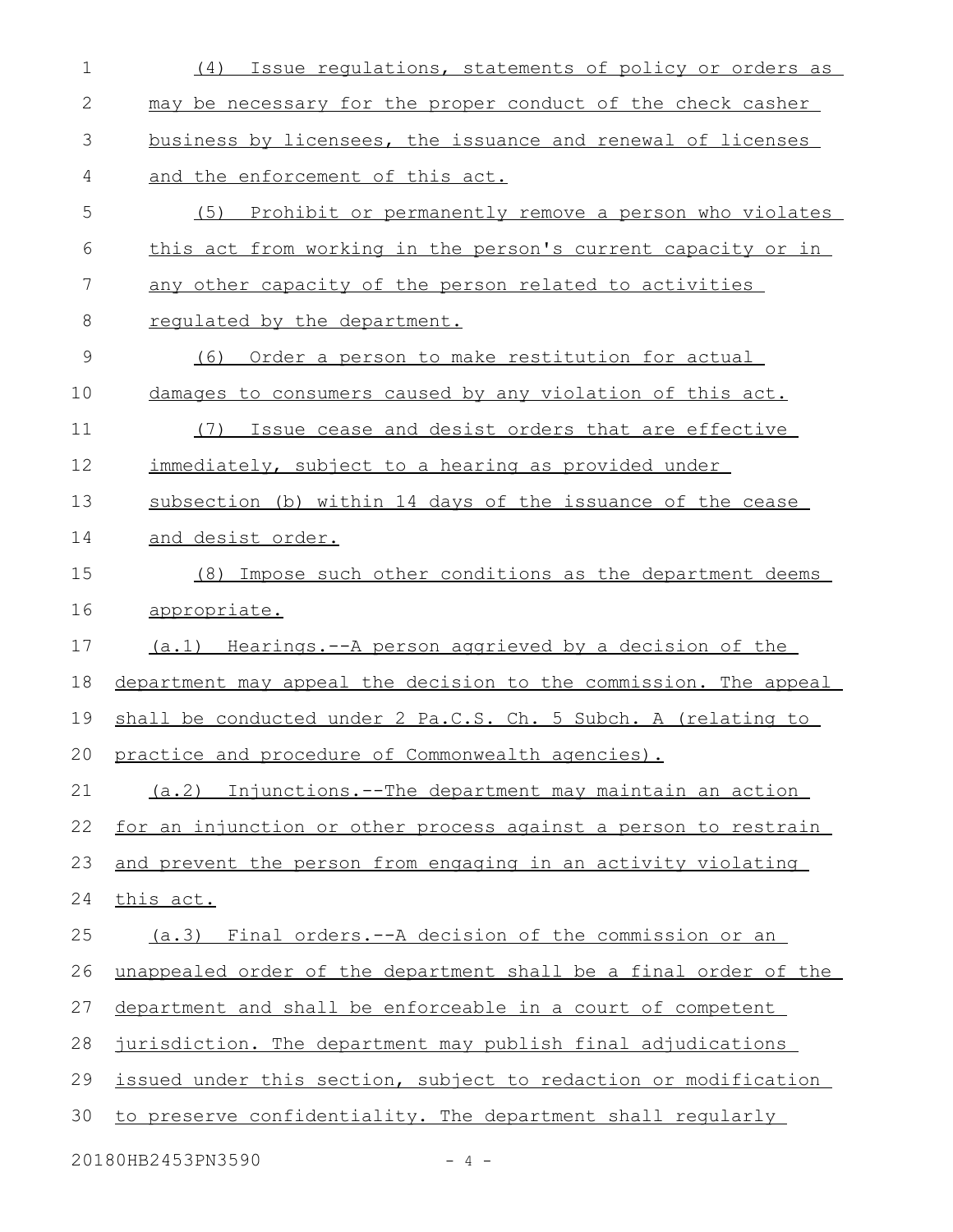| $\mathbf 1$   | Issue requlations, statements of policy or orders as<br>(4)      |
|---------------|------------------------------------------------------------------|
| 2             | may be necessary for the proper conduct of the check casher      |
| 3             | business by licensees, the issuance and renewal of licenses      |
| 4             | and the enforcement of this act.                                 |
| 5             | (5) Prohibit or permanently remove a person who violates         |
| 6             | this act from working in the person's current capacity or in     |
| 7             | any other capacity of the person related to activities           |
| 8             | requlated by the department.                                     |
| $\mathcal{G}$ | Order a person to make restitution for actual<br>(6)             |
| 10            | damages to consumers caused by any violation of this act.        |
| 11            | Issue cease and desist orders that are effective<br>(7)          |
| 12            | immediately, subject to a hearing as provided under              |
| 13            | subsection (b) within 14 days of the issuance of the cease       |
| 14            | and desist order.                                                |
| 15            | (8) Impose such other conditions as the department deems         |
| 16            | appropriate.                                                     |
| 17            | (a.1) Hearings. -- A person aggrieved by a decision of the       |
| 18            | department may appeal the decision to the commission. The appeal |
| 19            | shall be conducted under 2 Pa.C.S. Ch. 5 Subch. A (relating to   |
| 20            | practice and procedure of Commonwealth agencies).                |
| 21            | Injunctions.--The department may maintain an action<br>(a.2)     |
| 22            | for an injunction or other process against a person to restrain  |
| 23            | and prevent the person from engaging in an activity violating    |
| 24            | this act.                                                        |
| 25            | (a.3) Final orders.--A decision of the commission or an          |
| 26            | unappealed order of the department shall be a final order of the |
| 27            | department and shall be enforceable in a court of competent      |
| 28            | jurisdiction. The department may publish final adjudications     |
| 29            | issued under this section, subject to redaction or modification  |
| 30            | to preserve confidentiality. The department shall reqularly      |
|               | 20180HB2453PN3590<br>$-4-$                                       |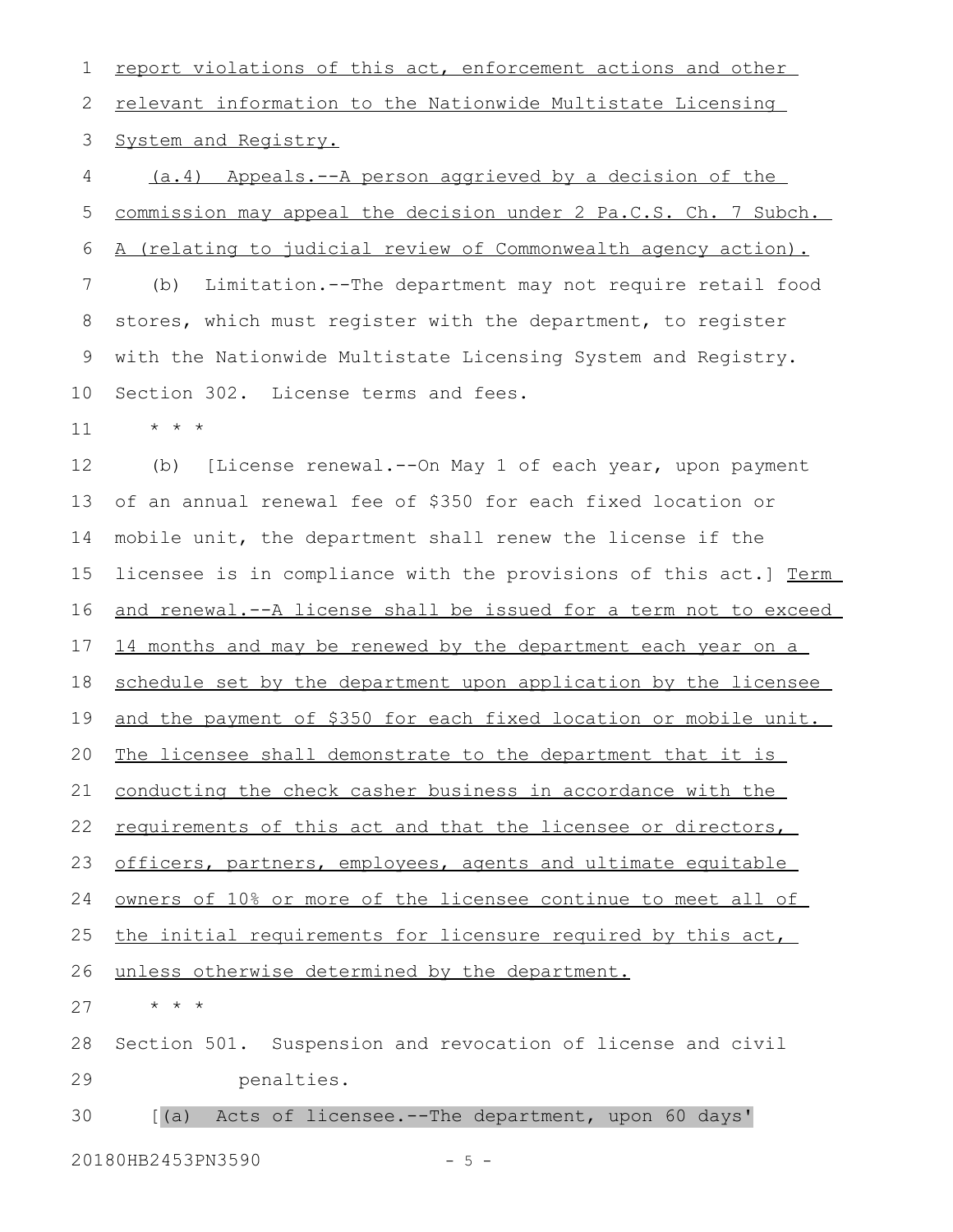report violations of this act, enforcement actions and other relevant information to the Nationwide Multistate Licensing System and Registry. 1 2 3

(a.4) Appeals.--A person aggrieved by a decision of the commission may appeal the decision under 2 Pa.C.S. Ch. 7 Subch. A (relating to judicial review of Commonwealth agency action). (b) Limitation.--The department may not require retail food stores, which must register with the department, to register with the Nationwide Multistate Licensing System and Registry. Section 302. License terms and fees. 4 5 6 7 8 9 10

\* \* \* 11

(b) [License renewal.--On May 1 of each year, upon payment of an annual renewal fee of \$350 for each fixed location or mobile unit, the department shall renew the license if the licensee is in compliance with the provisions of this act.] Term and renewal.--A license shall be issued for a term not to exceed 14 months and may be renewed by the department each year on a schedule set by the department upon application by the licensee and the payment of \$350 for each fixed location or mobile unit. The licensee shall demonstrate to the department that it is conducting the check casher business in accordance with the requirements of this act and that the licensee or directors, officers, partners, employees, agents and ultimate equitable owners of 10% or more of the licensee continue to meet all of the initial requirements for licensure required by this act, unless otherwise determined by the department. \* \* \* Section 501. Suspension and revocation of license and civil penalties. 12 13 14 15 16 17 18 19 20 21 22 23 24 25 26 27 28 29

[(a) Acts of licensee.--The department, upon 60 days' 30

20180HB2453PN3590 - 5 -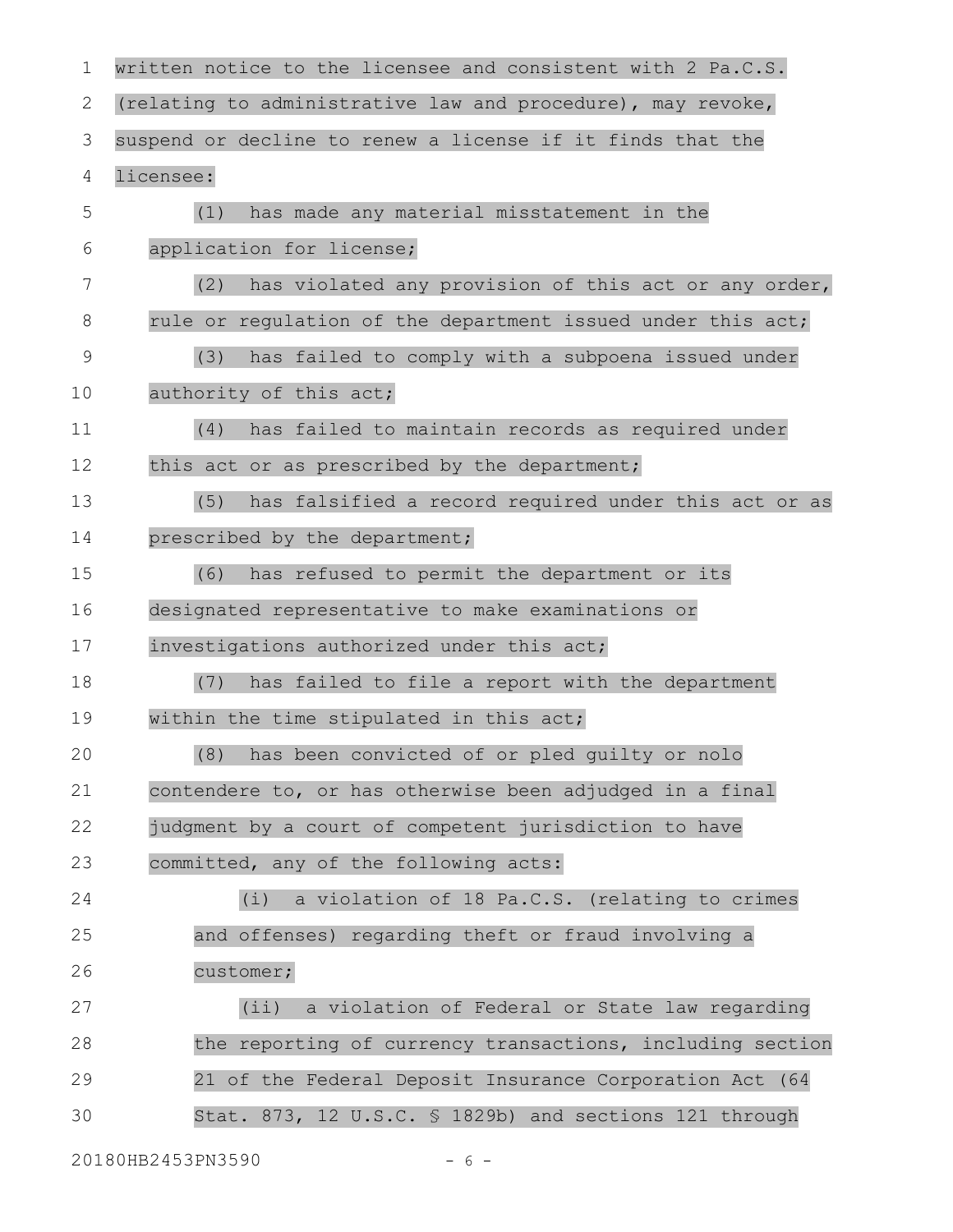| 1  | written notice to the licensee and consistent with 2 Pa.C.S. |
|----|--------------------------------------------------------------|
| 2  | (relating to administrative law and procedure), may revoke,  |
| 3  | suspend or decline to renew a license if it finds that the   |
| 4  | licensee:                                                    |
| 5  | (1)<br>has made any material misstatement in the             |
| 6  | application for license;                                     |
| 7  | has violated any provision of this act or any order,<br>(2)  |
| 8  | rule or regulation of the department issued under this act;  |
| 9  | (3)<br>has failed to comply with a subpoena issued under     |
| 10 | authority of this act;                                       |
| 11 | (4)<br>has failed to maintain records as required under      |
| 12 | this act or as prescribed by the department;                 |
| 13 | (5)<br>has falsified a record required under this act or as  |
| 14 | prescribed by the department;                                |
| 15 | (6)<br>has refused to permit the department or its           |
| 16 | designated representative to make examinations or            |
| 17 | investigations authorized under this act;                    |
| 18 | (7)<br>has failed to file a report with the department       |
| 19 | within the time stipulated in this act;                      |
| 20 | $(8)$ ha<br>has been convicted of or pled quilty or nolo     |
| 21 | contendere to, or has otherwise been adjudged in a final     |
| 22 | judgment by a court of competent jurisdiction to have        |
| 23 | committed, any of the following acts:                        |
| 24 | (i)<br>a violation of 18 Pa.C.S. (relating to crimes         |
| 25 | and offenses) regarding theft or fraud involving a           |
| 26 | customer;                                                    |
| 27 | a violation of Federal or State law regarding<br>(i)         |
| 28 | the reporting of currency transactions, including section    |
| 29 | 21 of the Federal Deposit Insurance Corporation Act (64      |
| 30 | Stat. 873, 12 U.S.C. § 1829b) and sections 121 through       |

20180HB2453PN3590 - 6 -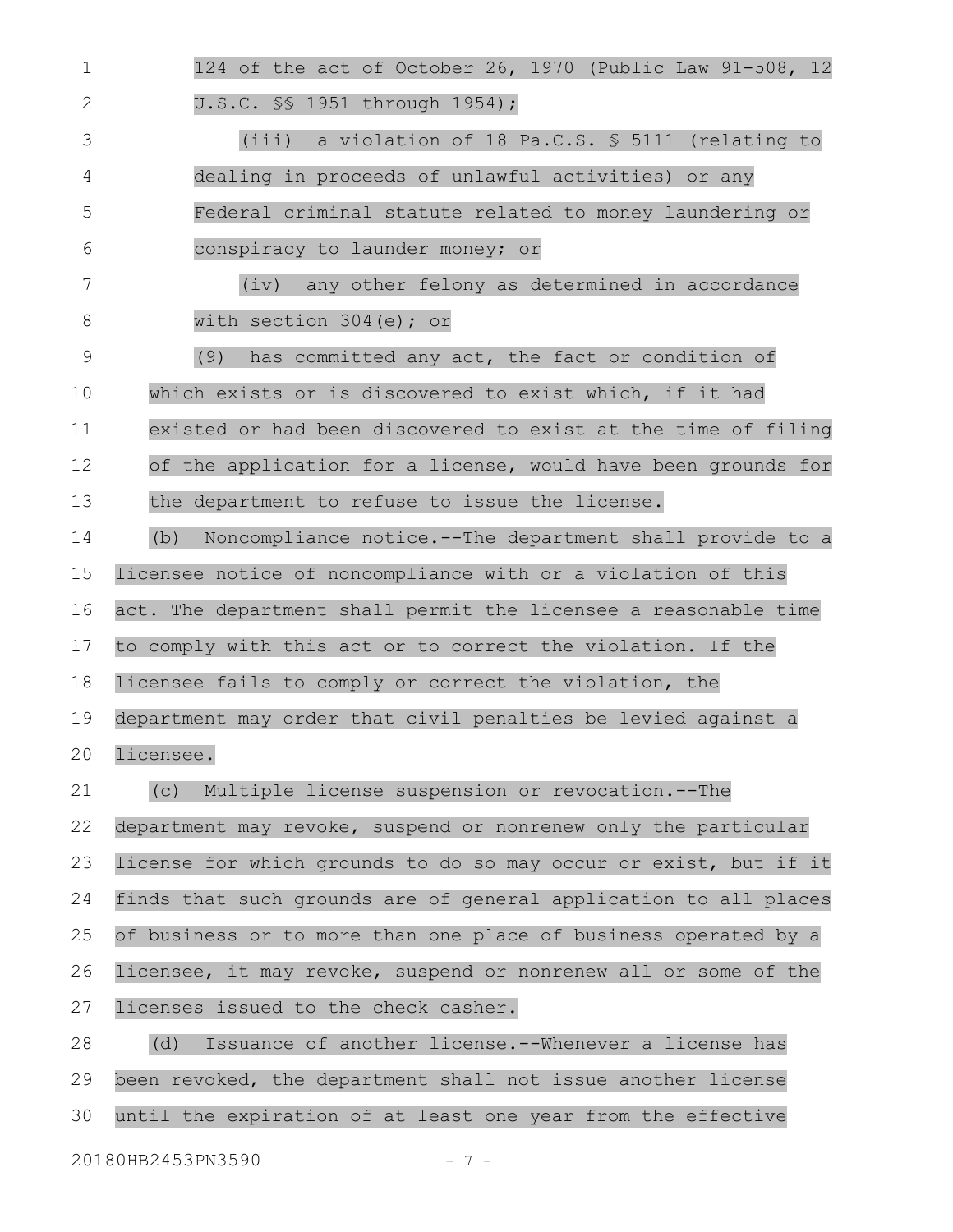124 of the act of October 26, 1970 (Public Law 91-508, 12 U.S.C. §§ 1951 through 1954); (iii) a violation of 18 Pa.C.S. § 5111 (relating to dealing in proceeds of unlawful activities) or any Federal criminal statute related to money laundering or conspiracy to launder money; or (iv) any other felony as determined in accordance with section 304(e); or (9) has committed any act, the fact or condition of which exists or is discovered to exist which, if it had existed or had been discovered to exist at the time of filing of the application for a license, would have been grounds for the department to refuse to issue the license. (b) Noncompliance notice.--The department shall provide to a licensee notice of noncompliance with or a violation of this act. The department shall permit the licensee a reasonable time to comply with this act or to correct the violation. If the licensee fails to comply or correct the violation, the department may order that civil penalties be levied against a licensee. (c) Multiple license suspension or revocation.--The department may revoke, suspend or nonrenew only the particular license for which grounds to do so may occur or exist, but if it finds that such grounds are of general application to all places of business or to more than one place of business operated by a licensee, it may revoke, suspend or nonrenew all or some of the licenses issued to the check casher. (d) Issuance of another license.--Whenever a license has been revoked, the department shall not issue another license until the expiration of at least one year from the effective 20180HB2453PN3590 - 7 - 1 2 3 4 5 6 7 8 9 10 11 12 13 14 15 16 17 18 19 20 21 22 23 24 25 26 27 28 29 30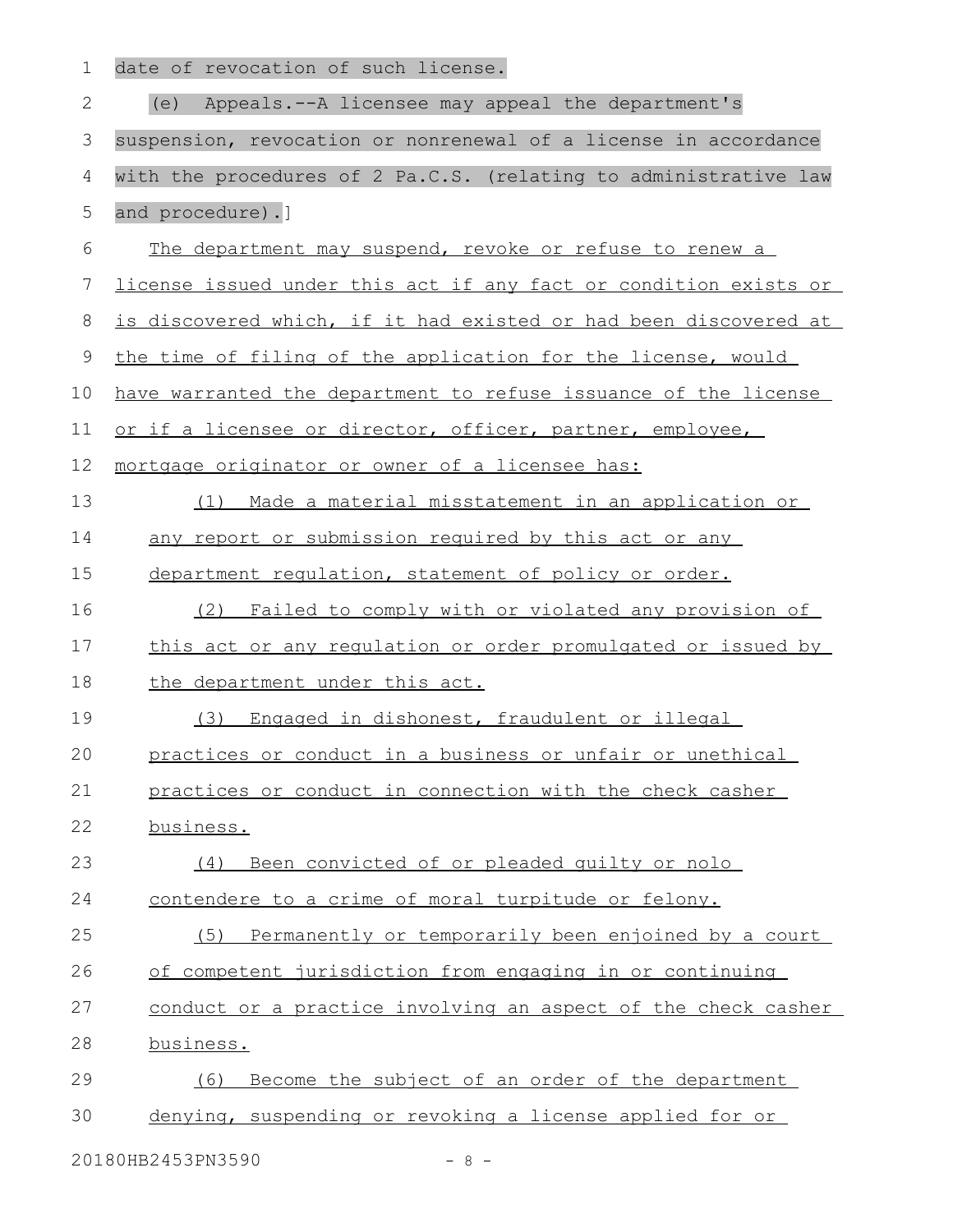|  | 1 date of revocation of such license. |  |  |
|--|---------------------------------------|--|--|
|  |                                       |  |  |

| $\mathbf{2}$ | Appeals.--A licensee may appeal the department's<br>(e)          |
|--------------|------------------------------------------------------------------|
| 3            | suspension, revocation or nonrenewal of a license in accordance  |
| 4            | with the procedures of 2 Pa.C.S. (relating to administrative law |
| 5            | and procedure).]                                                 |
| 6            | The department may suspend, revoke or refuse to renew a          |
| 7            | license issued under this act if any fact or condition exists or |
| 8            | is discovered which, if it had existed or had been discovered at |
| $\mathsf 9$  | the time of filing of the application for the license, would     |
| 10           | have warranted the department to refuse issuance of the license  |
| 11           | or if a licensee or director, officer, partner, employee,        |
| 12           | mortgage originator or owner of a licensee has:                  |
| 13           | Made a material misstatement in an application or<br>(1)         |
| 14           | any report or submission required by this act or any             |
| 15           | department regulation, statement of policy or order.             |
| 16           | (2) Failed to comply with or violated any provision of           |
| 17           | this act or any requlation or order promulgated or issued by     |
| 18           | the department under this act.                                   |
| 19           | Engaged in dishonest, fraudulent or illegal<br>(3)               |
| 20           | practices or conduct in a business or unfair or unethical        |
| 21           | practices or conduct in connection with the check casher         |
| 22           | business.                                                        |
| 23           | Been convicted of or pleaded quilty or nolo<br>(4)               |
| 24           | contendere to a crime of moral turpitude or felony.              |
| 25           | Permanently or temporarily been enjoined by a court<br>(5)       |
| 26           | of competent jurisdiction from engaging in or continuing         |
| 27           | conduct or a practice involving an aspect of the check casher    |
| 28           | business.                                                        |
| 29           | Become the subject of an order of the department<br>(6)          |
| 30           | denying, suspending or revoking a license applied for or         |
|              |                                                                  |

20180HB2453PN3590 - 8 -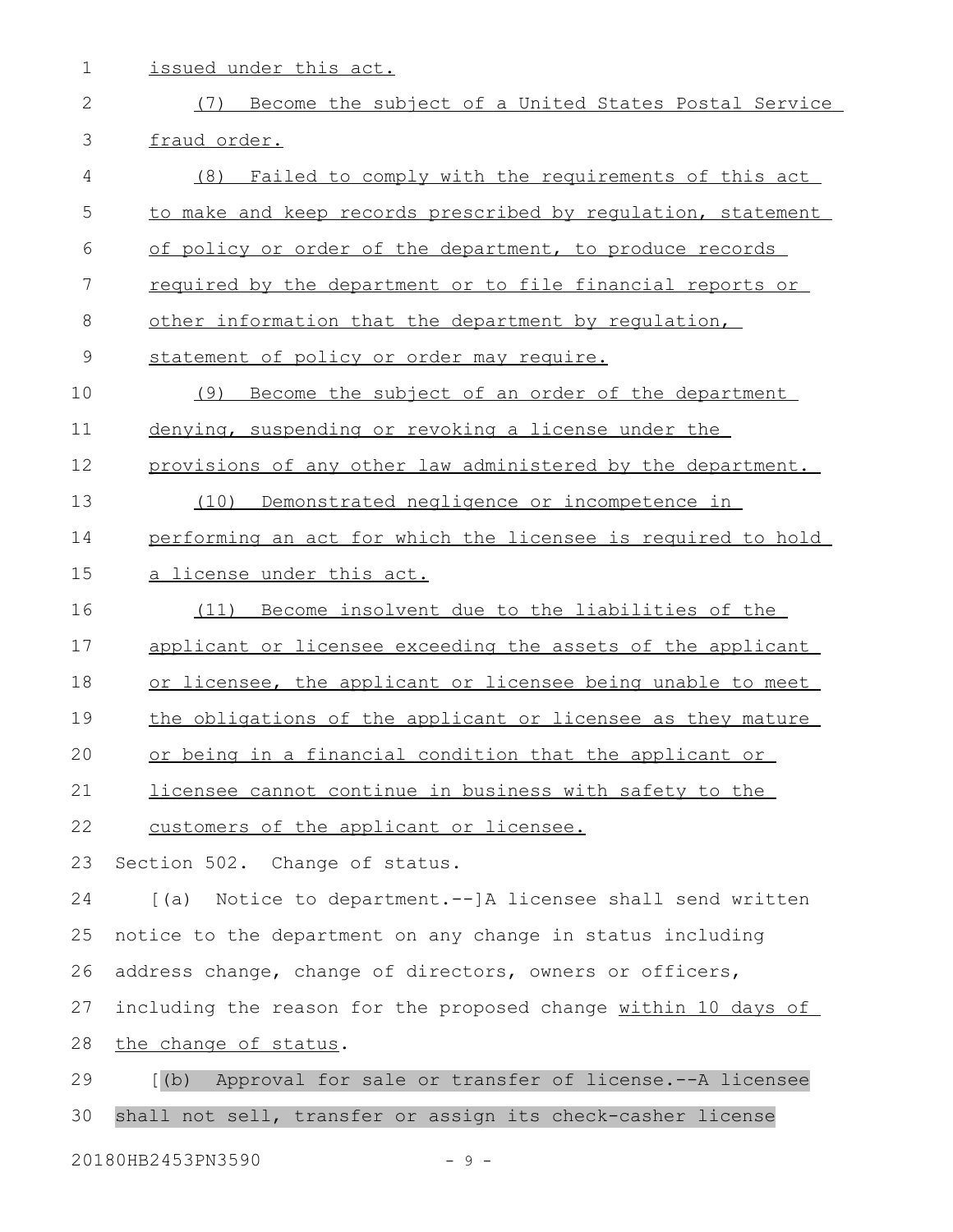1 issued under this act.

| $\mathbf{2}$ | Become the subject of a United States Postal Service<br>(7)    |
|--------------|----------------------------------------------------------------|
| 3            | fraud order.                                                   |
| 4            | Failed to comply with the requirements of this act<br>(8)      |
| 5            | to make and keep records prescribed by requlation, statement   |
| 6            | of policy or order of the department, to produce records       |
| 7            | required by the department or to file financial reports or     |
| $8\,$        | other information that the department by regulation,           |
| $\mathsf 9$  | statement of policy or order may require.                      |
| 10           | (9)<br>Become the subject of an order of the department        |
| 11           | denying, suspending or revoking a license under the            |
| 12           | provisions of any other law administered by the department.    |
| 13           | Demonstrated negligence or incompetence in<br>(10)             |
| 14           | performing an act for which the licensee is required to hold   |
| 15           | a license under this act.                                      |
| 16           | Become insolvent due to the liabilities of the<br>(11)         |
| 17           | applicant or licensee exceeding the assets of the applicant    |
| 18           | or licensee, the applicant or licensee being unable to meet    |
| 19           | the obligations of the applicant or licensee as they mature    |
| 20           | or being in a financial condition that the applicant or        |
| 21           | licensee cannot continue in business with safety to the        |
| 22           | customers of the applicant or licensee.                        |
| 23           | Section 502. Change of status.                                 |
| 24           | [(a) Notice to department.--]A licensee shall send written     |
| 25           | notice to the department on any change in status including     |
| 26           | address change, change of directors, owners or officers,       |
| 27           | including the reason for the proposed change within 10 days of |
| 28           | the change of status.                                          |
| 29           | (d)<br>Approval for sale or transfer of license.--A licensee   |
| 30           | shall not sell, transfer or assign its check-casher license    |
|              | 20180HB2453PN3590<br>$-9-$                                     |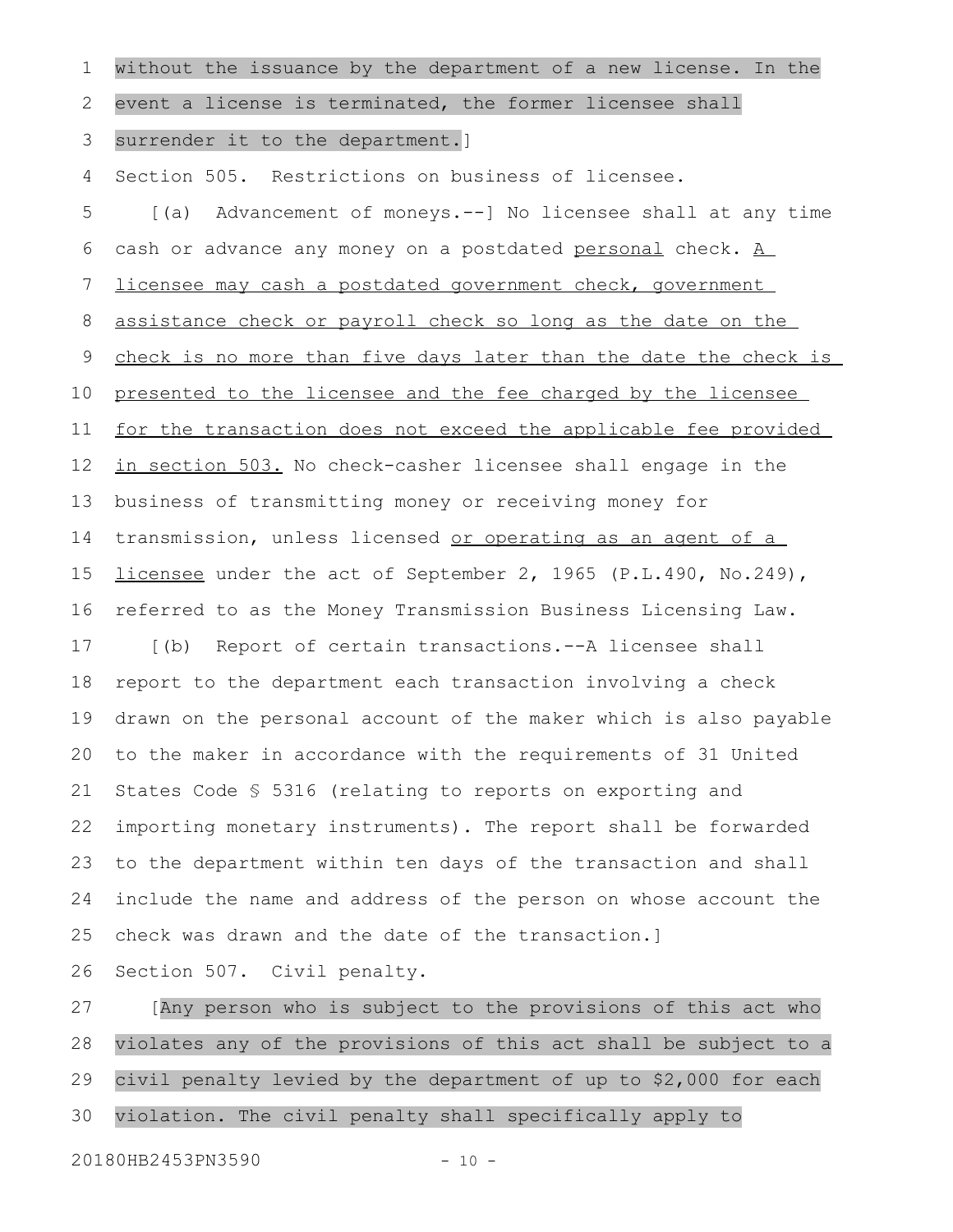| 1  | without the issuance by the department of a new license. In the     |
|----|---------------------------------------------------------------------|
| 2  | event a license is terminated, the former licensee shall            |
| 3  | surrender it to the department.]                                    |
| 4  | Section 505. Restrictions on business of licensee.                  |
| 5  | [(a) Advancement of moneys.--] No licensee shall at any time        |
| 6  | cash or advance any money on a postdated personal check. A          |
| 7  | licensee may cash a postdated government check, government          |
| 8  | assistance check or payroll check so long as the date on the        |
| 9  | check is no more than five days later than the date the check is    |
| 10 | presented to the licensee and the fee charged by the licensee       |
| 11 | for the transaction does not exceed the applicable fee provided     |
| 12 | in section 503. No check-casher licensee shall engage in the        |
| 13 | business of transmitting money or receiving money for               |
| 14 | transmission, unless licensed or operating as an agent of a         |
| 15 | $licensee$ under the act of September 2, 1965 (P.L.490, No.249),    |
| 16 | referred to as the Money Transmission Business Licensing Law.       |
| 17 | Report of certain transactions.--A licensee shall<br>$(\mathbf{b})$ |
| 18 | report to the department each transaction involving a check         |
| 19 | drawn on the personal account of the maker which is also payable    |
| 20 | to the maker in accordance with the requirements of 31 United       |
| 21 | States Code § 5316 (relating to reports on exporting and            |
| 22 | importing monetary instruments). The report shall be forwarded      |
| 23 | to the department within ten days of the transaction and shall      |
| 24 | include the name and address of the person on whose account the     |
| 25 | check was drawn and the date of the transaction.]                   |
| 26 | Section 507. Civil penalty.                                         |

[Any person who is subject to the provisions of this act who violates any of the provisions of this act shall be subject to a civil penalty levied by the department of up to \$2,000 for each violation. The civil penalty shall specifically apply to 27 28 29 30

20180HB2453PN3590 - 10 -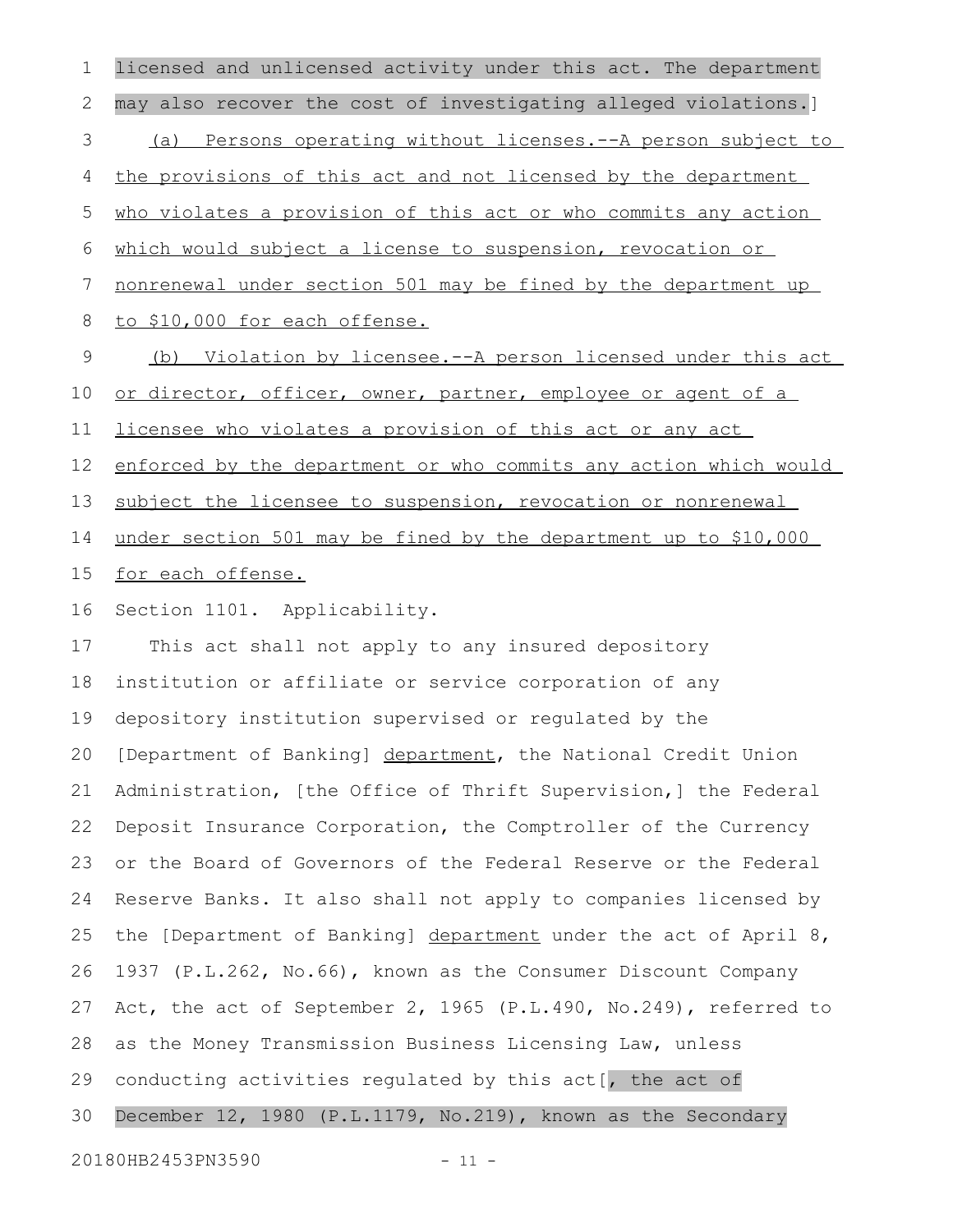licensed and unlicensed activity under this act. The department may also recover the cost of investigating alleged violations.] (a) Persons operating without licenses.--A person subject to the provisions of this act and not licensed by the department who violates a provision of this act or who commits any action which would subject a license to suspension, revocation or nonrenewal under section 501 may be fined by the department up to \$10,000 for each offense. (b) Violation by licensee.--A person licensed under this act or director, officer, owner, partner, employee or agent of a licensee who violates a provision of this act or any act enforced by the department or who commits any action which would subject the licensee to suspension, revocation or nonrenewal under section 501 may be fined by the department up to \$10,000 for each offense. Section 1101. Applicability. This act shall not apply to any insured depository institution or affiliate or service corporation of any depository institution supervised or regulated by the [Department of Banking] department, the National Credit Union Administration, [the Office of Thrift Supervision,] the Federal Deposit Insurance Corporation, the Comptroller of the Currency or the Board of Governors of the Federal Reserve or the Federal Reserve Banks. It also shall not apply to companies licensed by the [Department of Banking] department under the act of April 8, 1937 (P.L.262, No.66), known as the Consumer Discount Company Act, the act of September 2, 1965 (P.L.490, No.249), referred to as the Money Transmission Business Licensing Law, unless conducting activities regulated by this act [, the act of December 12, 1980 (P.L.1179, No.219), known as the Secondary 1 2 3 4 5 6 7 8 9 10 11 12 13 14 15 16 17 18 19 20 21 22 23 24 25 26 27 28 29 30

20180HB2453PN3590 - 11 -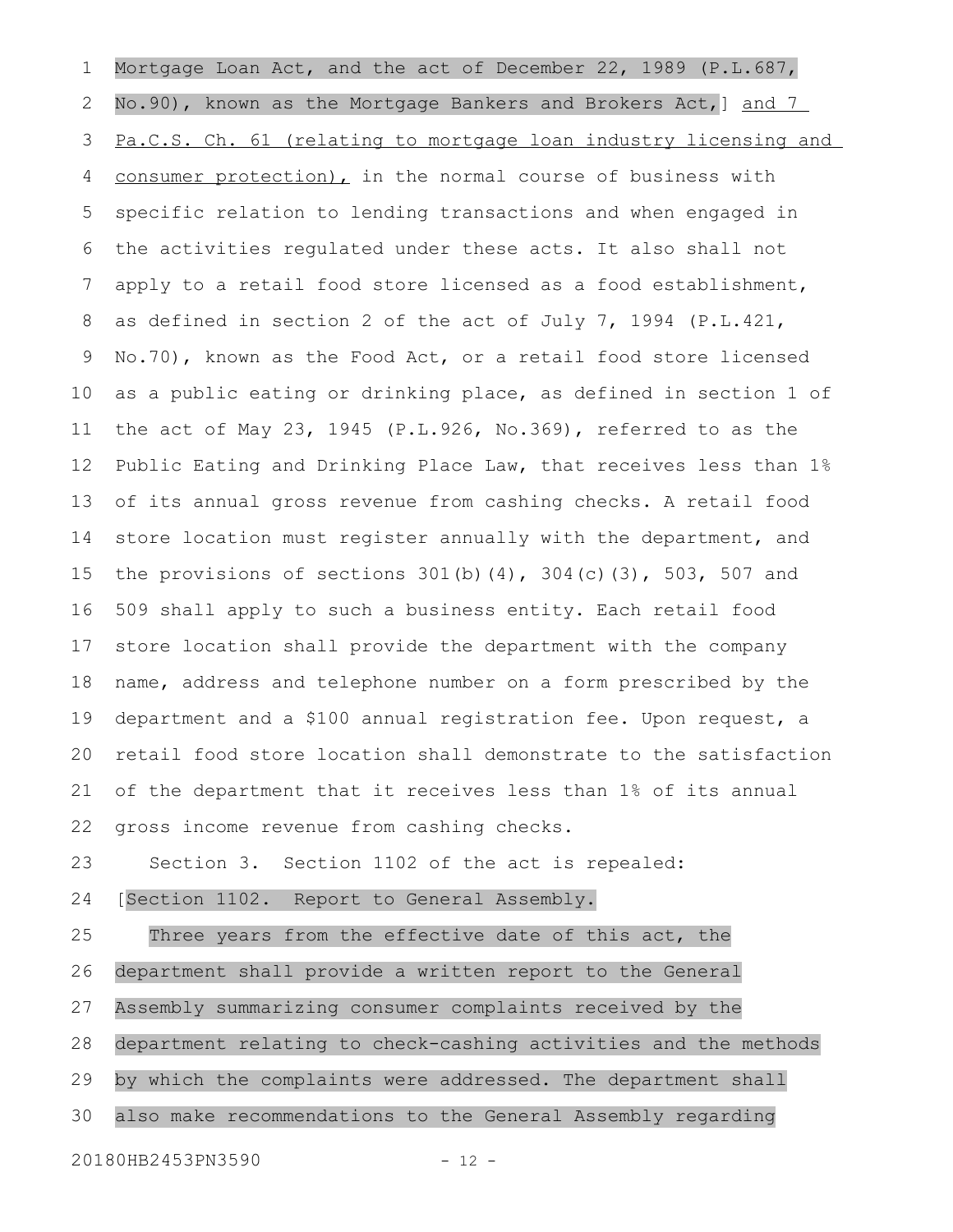Mortgage Loan Act, and the act of December 22, 1989 (P.L.687, No.90), known as the Mortgage Bankers and Brokers Act, and 7 Pa.C.S. Ch. 61 (relating to mortgage loan industry licensing and consumer protection), in the normal course of business with specific relation to lending transactions and when engaged in the activities regulated under these acts. It also shall not apply to a retail food store licensed as a food establishment, as defined in section 2 of the act of July 7, 1994 (P.L.421, No.70), known as the Food Act, or a retail food store licensed as a public eating or drinking place, as defined in section 1 of the act of May 23, 1945 (P.L.926, No.369), referred to as the Public Eating and Drinking Place Law, that receives less than 1% of its annual gross revenue from cashing checks. A retail food store location must register annually with the department, and the provisions of sections  $301(b)(4)$ ,  $304(c)(3)$ ,  $503$ ,  $507$  and 509 shall apply to such a business entity. Each retail food store location shall provide the department with the company name, address and telephone number on a form prescribed by the department and a \$100 annual registration fee. Upon request, a retail food store location shall demonstrate to the satisfaction of the department that it receives less than 1% of its annual gross income revenue from cashing checks. Section 3. Section 1102 of the act is repealed: [Section 1102. Report to General Assembly. Three years from the effective date of this act, the department shall provide a written report to the General Assembly summarizing consumer complaints received by the department relating to check-cashing activities and the methods by which the complaints were addressed. The department shall also make recommendations to the General Assembly regarding 1 2 3 4 5 6 7 8 9 10 11 12 13 14 15 16 17 18 19 20 21 22 23 24 25 26 27 28 29 30

20180HB2453PN3590 - 12 -